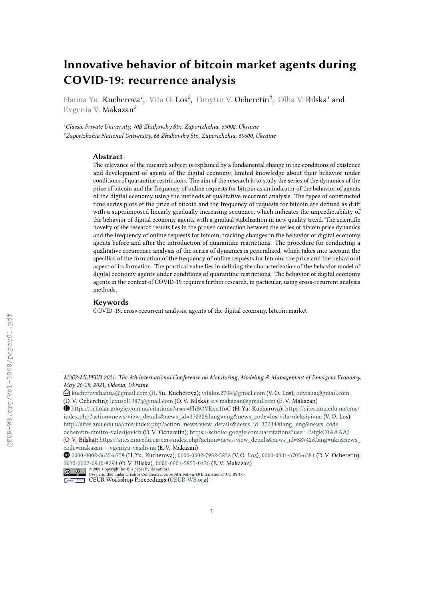# **Innovative behavior of bitcoin market agents during COVID-19: recurrence analysis**

Hanna Yu. Kucherova*<sup>1</sup>* , Vita O. Los*<sup>2</sup>* , Dmytro V. Ocheretin*<sup>2</sup>* , Olha V. Bilska*<sup>1</sup>* and Evgenia V. Makazan*<sup>2</sup>*

*<sup>1</sup>Classic Private University, 70B Zhukovsky Str., Zaporizhzhia, 69002, Ukraine <sup>2</sup>Zaporizhzhia National University, 66 Zhukovsky Str., Zaporizhzhia, 69600, Ukraine*

#### **Abstract**

The relevance of the research subject is explained by a fundamental change in the conditions of existence and development of agents of the digital economy, limited knowledge about their behavior under conditions of quarantine restrictions. The aim of the research is to study the series of the dynamics of the price of bitcoin and the frequency of online requests for bitcoin as an indicator of the behavior of agents of the digital economy using the methods of qualitative recurrent analysis. The types of constructed time series plots of the price of bitcoin and the frequency of requests for bitcoin are defined as drift with a superimposed linearly gradually increasing sequence, which indicates the unpredictability of the behavior of digital economy agents with a gradual stabilization in new quality trend. The scientific novelty of the research results lies in the proven connection between the series of bitcoin price dynamics and the frequency of online requests for bitcoin, tracking changes in the behavior of digital economy agents before and after the introduction of quarantine restrictions. The procedure for conducting a qualitative recurrence analysis of the series of dynamics is generalized, which takes into account the specifics of the formation of the frequency of online requests for bitcoin, the price and the behavioral aspect of its formation. The practical value lies in defining the characterization of the behavior model of digital economy agents under conditions of quarantine restrictions. The behavior of digital economy agents in the context of COVID-19 requires further research, in particular, using cross-recurrent analysis methods.

#### **Keywords**

COVID-19, cross-recurrent analysis, agents of the digital economy, bitcoin market

*M3E2-MLPEED 2021: The 9th International Conference on Monitoring, Modeling & Management of Emergent Economy, May 26-28, 2021, Odessa, Ukraine*

 $\bigcirc$ [kucherovahanna@gmail.com](mailto:kucherovahanna@gmail.com) (H. Yu. Kucherova); [vitalos.2704@gmail.com](mailto:vitalos.2704@gmail.com) (V. O. Los); [odvisua@gmail.com](mailto:odvisua@gmail.com) (D. V. Ocheretin); [lexusol1987@gmail.com](mailto:lexusol1987@gmail.com) (O. V. Bilska); [e.v.makazan@gmail.com](mailto:e.v.makazan@gmail.com) (E. V. Makazan)

GLOBE <https://scholar.google.com.ua/citations?user=FhBOVExn1foC> (H. Yu. Kucherova); [https://sites.znu.edu.ua/cms/](https://sites.znu.edu.ua/cms/index.php?action=news/view_details&news_id=37232&lang=eng&news_code=los-vita-oleksiyivna) [index.php?action=news/view\\_details&news\\_id=37232&lang=eng&news\\_code=los-vita-oleksiyivna](https://sites.znu.edu.ua/cms/index.php?action=news/view_details&news_id=37232&lang=eng&news_code=los-vita-oleksiyivna) (V. O. Los); [http://sites.znu.edu.ua/cms/index.php?action=news/view\\_details&news\\_id=37234&lang=eng&news\\_code=](http://sites.znu.edu.ua/cms/index.php?action=news/view_details&news_id=37234&lang=eng&news_code=ocheretin-dmitro-valerijovich) [ocheretin-dmitro-valerijovich](http://sites.znu.edu.ua/cms/index.php?action=news/view_details&news_id=37234&lang=eng&news_code=ocheretin-dmitro-valerijovich) (D. V. Ocheretin); <https://scholar.google.com.ua/citations?user=FsfgkC0AAAAJ> (O. V. Bilska); [https://sites.znu.edu.ua/cms/index.php?action=news/view\\_details&news\\_id=38742&lang=ukr&news\\_](https://sites.znu.edu.ua/cms/index.php?action=news/view_details&news_id=38742&lang=ukr&news_code=makazan---vgeniya-vasilivna) [code=makazan---vgeniya-vasilivna](https://sites.znu.edu.ua/cms/index.php?action=news/view_details&news_id=38742&lang=ukr&news_code=makazan---vgeniya-vasilivna) (E. V. Makazan)

Orcid [0000-0002-8635-6758](https://orcid.org/0000-0002-8635-6758) (H. Yu. Kucherova); [0000-0002-7932-5232](https://orcid.org/0000-0002-7932-5232) (V. O. Los); [0000-0001-6705-6381](https://orcid.org/0000-0001-6705-6381) (D. V. Ocheretin); [0000-0002-0940-8294](https://orcid.org/0000-0002-0940-8294) (O. V. Bilska); [0000-0001-5855-0476](https://orcid.org/0000-0001-5855-0476) (E. V. Makazan)

 $\frac{1}{\omega}$   $\frac{1}{\omega}$   $\frac{1}{\omega}$   $\frac{1}{\omega}$  CD21 Copyright for this paper by its authors.<br>
CEUR permitted under Creative Commons License Attribution 4.0 International (CC BY 4.0).

CEUR Workshop [Proceedings](http://ceur-ws.org) [\(CEUR-WS.org\)](http://ceur-ws.org)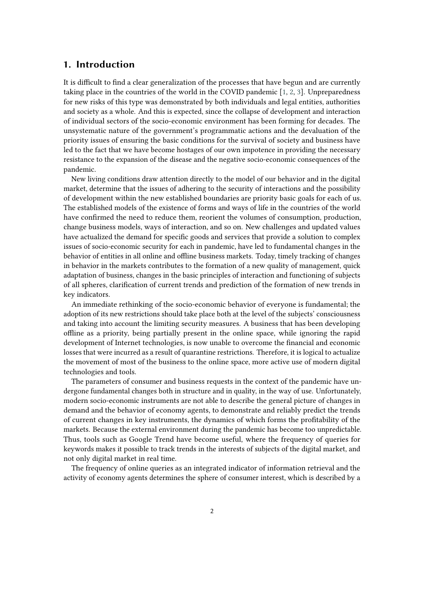#### **1. Introduction**

It is difficult to find a clear generalization of the processes that have begun and are currently taking place in the countries of the world in the COVID pandemic [\[1,](#page-13-0) [2,](#page-13-1) [3\]](#page-13-2). Unpreparedness for new risks of this type was demonstrated by both individuals and legal entities, authorities and society as a whole. And this is expected, since the collapse of development and interaction of individual sectors of the socio-economic environment has been forming for decades. The unsystematic nature of the government's programmatic actions and the devaluation of the priority issues of ensuring the basic conditions for the survival of society and business have led to the fact that we have become hostages of our own impotence in providing the necessary resistance to the expansion of the disease and the negative socio-economic consequences of the pandemic.

New living conditions draw attention directly to the model of our behavior and in the digital market, determine that the issues of adhering to the security of interactions and the possibility of development within the new established boundaries are priority basic goals for each of us. The established models of the existence of forms and ways of life in the countries of the world have confirmed the need to reduce them, reorient the volumes of consumption, production, change business models, ways of interaction, and so on. New challenges and updated values have actualized the demand for specific goods and services that provide a solution to complex issues of socio-economic security for each in pandemic, have led to fundamental changes in the behavior of entities in all online and offline business markets. Today, timely tracking of changes in behavior in the markets contributes to the formation of a new quality of management, quick adaptation of business, changes in the basic principles of interaction and functioning of subjects of all spheres, clarification of current trends and prediction of the formation of new trends in key indicators.

An immediate rethinking of the socio-economic behavior of everyone is fundamental; the adoption of its new restrictions should take place both at the level of the subjects' consciousness and taking into account the limiting security measures. A business that has been developing offline as a priority, being partially present in the online space, while ignoring the rapid development of Internet technologies, is now unable to overcome the financial and economic losses that were incurred as a result of quarantine restrictions. Therefore, it is logical to actualize the movement of most of the business to the online space, more active use of modern digital technologies and tools.

The parameters of consumer and business requests in the context of the pandemic have undergone fundamental changes both in structure and in quality, in the way of use. Unfortunately, modern socio-economic instruments are not able to describe the general picture of changes in demand and the behavior of economy agents, to demonstrate and reliably predict the trends of current changes in key instruments, the dynamics of which forms the profitability of the markets. Because the external environment during the pandemic has become too unpredictable. Thus, tools such as Google Trend have become useful, where the frequency of queries for keywords makes it possible to track trends in the interests of subjects of the digital market, and not only digital market in real time.

The frequency of online queries as an integrated indicator of information retrieval and the activity of economy agents determines the sphere of consumer interest, which is described by a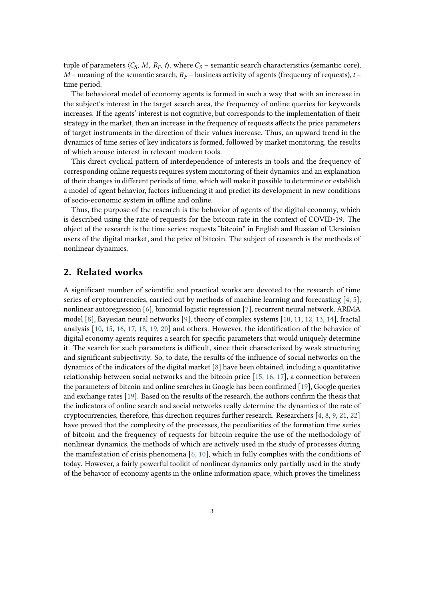tuple of parameters  $\langle C_S, M, R_F, t \rangle$ , where  $C_S$  – semantic search characteristics (semantic core),  $M$  – meaning of the semantic search,  $R_F$  – business activity of agents (frequency of requests),  $t$  – time period.

The behavioral model of economy agents is formed in such a way that with an increase in the subject's interest in the target search area, the frequency of online queries for keywords increases. If the agents' interest is not cognitive, but corresponds to the implementation of their strategy in the market, then an increase in the frequency of requests affects the price parameters of target instruments in the direction of their values increase. Thus, an upward trend in the dynamics of time series of key indicators is formed, followed by market monitoring, the results of which arouse interest in relevant modern tools.

This direct cyclical pattern of interdependence of interests in tools and the frequency of corresponding online requests requires system monitoring of their dynamics and an explanation of their changes in different periods of time, which will make it possible to determine or establish a model of agent behavior, factors influencing it and predict its development in new conditions of socio-economic system in offline and online.

Thus, the purpose of the research is the behavior of agents of the digital economy, which is described using the rate of requests for the bitcoin rate in the context of COVID-19. The object of the research is the time series: requests "bitcoin" in English and Russian of Ukrainian users of the digital market, and the price of bitcoin. The subject of research is the methods of nonlinear dynamics.

#### **2. Related works**

A significant number of scientific and practical works are devoted to the research of time series of cryptocurrencies, carried out by methods of machine learning and forecasting [\[4,](#page-13-3) [5\]](#page-13-4), nonlinear autoregression [\[6\]](#page-13-5), binomial logistic regression [\[7\]](#page-13-6), recurrent neural network, ARIMA model [\[8\]](#page-13-7), Bayesian neural networks [\[9\]](#page-13-8), theory of complex systems [\[10,](#page-13-9) [11,](#page-13-10) [12,](#page-13-11) [13,](#page-13-12) [14\]](#page-13-13), fractal analysis [\[10,](#page-13-9) [15,](#page-14-0) [16,](#page-14-1) [17,](#page-14-2) [18,](#page-14-3) [19,](#page-14-4) [20\]](#page-14-5) and others. However, the identification of the behavior of digital economy agents requires a search for specific parameters that would uniquely determine it. The search for such parameters is difficult, since their characterized by weak structuring and significant subjectivity. So, to date, the results of the influence of social networks on the dynamics of the indicators of the digital market [\[8\]](#page-13-7) have been obtained, including a quantitative relationship between social networks and the bitcoin price [\[15,](#page-14-0) [16,](#page-14-1) [17\]](#page-14-2), a connection between the parameters of bitcoin and online searches in Google has been confirmed [\[19\]](#page-14-4), Google queries and exchange rates [\[19\]](#page-14-4). Based on the results of the research, the authors confirm the thesis that the indicators of online search and social networks really determine the dynamics of the rate of cryptocurrencies, therefore, this direction requires further research. Researchers [\[4,](#page-13-3) [8,](#page-13-7) [9,](#page-13-8) [21,](#page-14-6) [22\]](#page-14-7) have proved that the complexity of the processes, the peculiarities of the formation time series of bitcoin and the frequency of requests for bitcoin require the use of the methodology of nonlinear dynamics, the methods of which are actively used in the study of processes during the manifestation of crisis phenomena [\[6,](#page-13-5) [10\]](#page-13-9), which in fully complies with the conditions of today. However, a fairly powerful toolkit of nonlinear dynamics only partially used in the study of the behavior of economy agents in the online information space, which proves the timeliness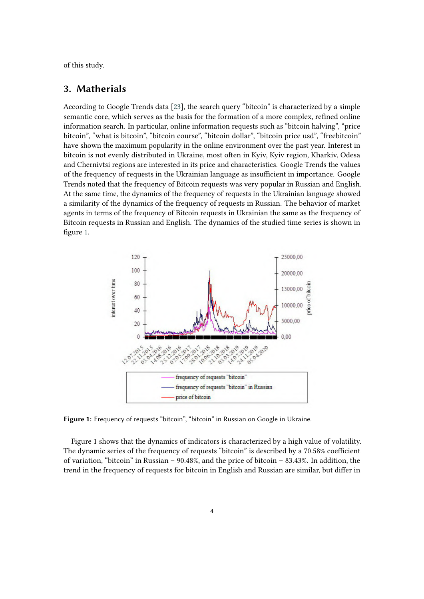of this study.

#### **3. Matherials**

According to Google Trends data [\[23\]](#page-14-8), the search query "bitcoin" is characterized by a simple semantic core, which serves as the basis for the formation of a more complex, refined online information search. In particular, online information requests such as "bitcoin halving", "price bitcoin", "what is bitcoin", "bitcoin course", "bitcoin dollar", "bitcoin price usd", "freebitcoin" have shown the maximum popularity in the online environment over the past year. Interest in bitcoin is not evenly distributed in Ukraine, most often in Kyiv, Kyiv region, Kharkiv, Odesa and Chernivtsi regions are interested in its price and characteristics. Google Trends the values of the frequency of requests in the Ukrainian language as insufficient in importance. Google Trends noted that the frequency of Bitcoin requests was very popular in Russian and English. At the same time, the dynamics of the frequency of requests in the Ukrainian language showed a similarity of the dynamics of the frequency of requests in Russian. The behavior of market agents in terms of the frequency of Bitcoin requests in Ukrainian the same as the frequency of Bitcoin requests in Russian and English. The dynamics of the studied time series is shown in figure [1.](#page-3-0)



<span id="page-3-0"></span>**Figure 1:** Frequency of requests "bitcoin", "bitcoin" in Russian on Google in Ukraine.

Figure 1 shows that the dynamics of indicators is characterized by a high value of volatility. The dynamic series of the frequency of requests "bitcoin" is described by a 70.58% coefficient of variation, "bitcoin" in Russian – 90.48%, and the price of bitcoin – 83.43%. In addition, the trend in the frequency of requests for bitcoin in English and Russian are similar, but differ in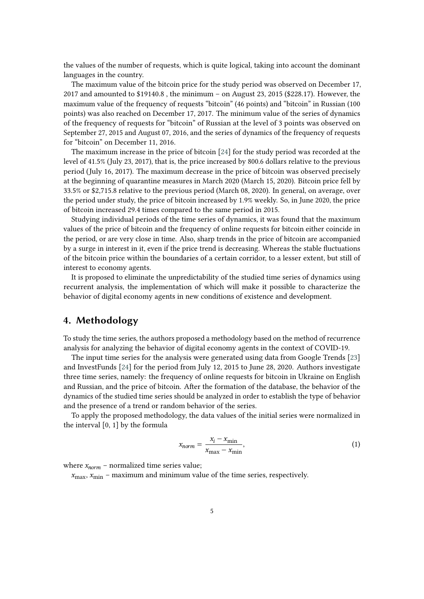the values of the number of requests, which is quite logical, taking into account the dominant languages in the country.

The maximum value of the bitcoin price for the study period was observed on December 17, 2017 and amounted to \$19140.8 , the minimum – on August 23, 2015 (\$228.17). However, the maximum value of the frequency of requests "bitcoin" (46 points) and "bitcoin" in Russian (100 points) was also reached on December 17, 2017. The minimum value of the series of dynamics of the frequency of requests for "bitcoin" of Russian at the level of 3 points was observed on September 27, 2015 and August 07, 2016, and the series of dynamics of the frequency of requests for "bitcoin" on December 11, 2016.

The maximum increase in the price of bitcoin [\[24\]](#page-14-9) for the study period was recorded at the level of 41.5% (July 23, 2017), that is, the price increased by 800.6 dollars relative to the previous period (July 16, 2017). The maximum decrease in the price of bitcoin was observed precisely at the beginning of quarantine measures in March 2020 (March 15, 2020). Bitcoin price fell by 33.5% or \$2,715.8 relative to the previous period (March 08, 2020). In general, on average, over the period under study, the price of bitcoin increased by 1.9% weekly. So, in June 2020, the price of bitcoin increased 29.4 times compared to the same period in 2015.

Studying individual periods of the time series of dynamics, it was found that the maximum values of the price of bitcoin and the frequency of online requests for bitcoin either coincide in the period, or are very close in time. Also, sharp trends in the price of bitcoin are accompanied by a surge in interest in it, even if the price trend is decreasing. Whereas the stable fluctuations of the bitcoin price within the boundaries of a certain corridor, to a lesser extent, but still of interest to economy agents.

It is proposed to eliminate the unpredictability of the studied time series of dynamics using recurrent analysis, the implementation of which will make it possible to characterize the behavior of digital economy agents in new conditions of existence and development.

## **4. Methodology**

To study the time series, the authors proposed a methodology based on the method of recurrence analysis for analyzing the behavior of digital economy agents in the context of COVID-19.

The input time series for the analysis were generated using data from Google Trends [\[23\]](#page-14-8) and InvestFunds [\[24\]](#page-14-9) for the period from July 12, 2015 to June 28, 2020. Authors investigate three time series, namely: the frequency of online requests for bitcoin in Ukraine on English and Russian, and the price of bitcoin. After the formation of the database, the behavior of the dynamics of the studied time series should be analyzed in order to establish the type of behavior and the presence of a trend or random behavior of the series.

To apply the proposed methodology, the data values of the initial series were normalized in the interval [0, 1] by the formula

$$
x_{norm} = \frac{x_i - x_{min}}{x_{max} - x_{min}},
$$
\n(1)

where  $x_{norm}$  – normalized time series value;

 $x_{\text{max}}$ ,  $x_{\text{min}}$  – maximum and minimum value of the time series, respectively.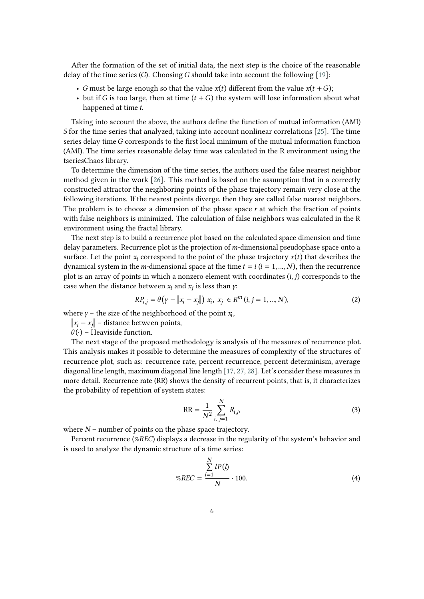After the formation of the set of initial data, the next step is the choice of the reasonable delay of the time series (G). Choosing G should take into account the following [\[19\]](#page-14-4):

- *G* must be large enough so that the value  $x(t)$  different from the value  $x(t + G)$ ;
- but if G is too large, then at time  $(t + G)$  the system will lose information about what happened at time  $t$ .

Taking into account the above, the authors define the function of mutual information (AMI)  $S$  for the time series that analyzed, taking into account nonlinear correlations [\[25\]](#page-14-10). The time series delay time G corresponds to the first local minimum of the mutual information function (AMI). The time series reasonable delay time was calculated in the R environment using the tseriesChaos library.

To determine the dimension of the time series, the authors used the false nearest neighbor method given in the work [\[26\]](#page-14-11). This method is based on the assumption that in a correctly constructed attractor the neighboring points of the phase trajectory remain very close at the following iterations. If the nearest points diverge, then they are called false nearest neighbors. The problem is to choose a dimension of the phase space  $r$  at which the fraction of points with false neighbors is minimized. The calculation of false neighbors was calculated in the R environment using the fractal library.

The next step is to build a recurrence plot based on the calculated space dimension and time delay parameters. Recurrence plot is the projection of  $m$ -dimensional pseudophase space onto a surface. Let the point  $x_i$  correspond to the point of the phase trajectory  $x(t)$  that describes the dynamical system in the *m*-dimensional space at the time  $t = i$  ( $i = 1, ..., N$ ), then the recurrence plot is an array of points in which a nonzero element with coordinates  $(i, j)$  corresponds to the case when the distance between  $x_i$  and  $x_j$  is less than  $\gamma$ :

$$
RP_{i,j} = \theta \left( \gamma - \left\| x_i - x_j \right\| \right) \, x_i, \, x_j \in R^m \left( i, j = 1, ..., N \right), \tag{2}
$$

where  $\gamma$  – the size of the neighborhood of the point  $x_i$ ,

 $\|x_i - x_j\|$  – distance between points,

 $\theta(\cdot)$  – Heaviside function.

The next stage of the proposed methodology is analysis of the measures of recurrence plot. This analysis makes it possible to determine the measures of complexity of the structures of recurrence plot, such as: recurrence rate, percent recurrence, percent determinism, average diagonal line length, maximum diagonal line length [\[17,](#page-14-2) [27,](#page-14-12) [28\]](#page-14-13). Let's consider these measures in more detail. Recurrence rate (RR) shows the density of recurrent points, that is, it characterizes the probability of repetition of system states:

$$
RR = \frac{1}{N^2} \sum_{i, j=1}^{N} R_{i,j},
$$
\n(3)

where  $N$  – number of points on the phase space trajectory.

Percent recurrence (%REC) displays a decrease in the regularity of the system's behavior and is used to analyze the dynamic structure of a time series:

$$
\%REC = \frac{\sum_{l=1}^{N} lP(l)}{N} \cdot 100. \tag{4}
$$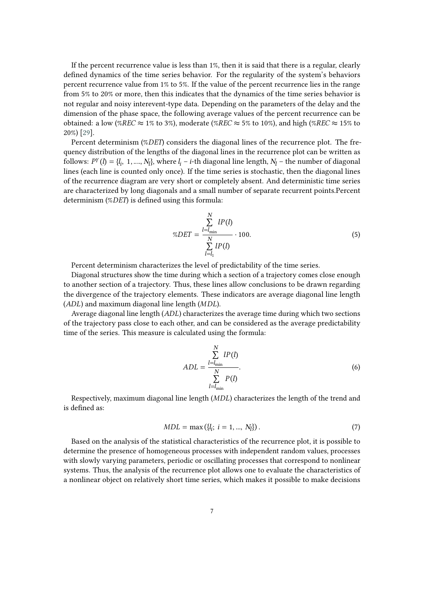If the percent recurrence value is less than 1%, then it is said that there is a regular, clearly defined dynamics of the time series behavior. For the regularity of the system's behaviors percent recurrence value from 1% to 5%. If the value of the percent recurrence lies in the range from 5% to 20% or more, then this indicates that the dynamics of the time series behavior is not regular and noisy interevent-type data. Depending on the parameters of the delay and the dimension of the phase space, the following average values of the percent recurrence can be obtained: a low (%REC  $\approx$  1% to 3%), moderate (%REC  $\approx$  5% to 10%), and high (%REC  $\approx$  15% to 20%) [\[29\]](#page-14-14).

Percent determinism (%DET) considers the diagonal lines of the recurrence plot. The frequency distribution of the lengths of the diagonal lines in the recurrence plot can be written as follows:  $P^{\gamma}(l) = \{l_i, 1, ..., N_l\}$ , where  $l_i - i$ -th diagonal line length,  $N_l$  – the number of diagonal lines (each line is counted only once). If the time series is stochastic, then the diagonal lines of the recurrence diagram are very short or completely absent. And deterministic time series are characterized by long diagonals and a small number of separate recurrent points.Percent determinism  $(\%DET)$  is defined using this formula:

$$
\%DET = \frac{\sum_{l=l_{\min}}^{N} lP(l)}{\sum_{l=l_1}^{N} lP(l)} \cdot 100.
$$
 (5)

Percent determinism characterizes the level of predictability of the time series.

Diagonal structures show the time during which a section of a trajectory comes close enough to another section of a trajectory. Thus, these lines allow conclusions to be drawn regarding the divergence of the trajectory elements. These indicators are average diagonal line length  $(ADL)$  and maximum diagonal line length  $(MDL)$ .

Average diagonal line length  $(ADL)$  characterizes the average time during which two sections of the trajectory pass close to each other, and can be considered as the average predictability time of the series. This measure is calculated using the formula:

$$
ADL = \frac{\sum_{l=l_{\min}}^{N} lP(l)}{\sum_{l=l_{\min}}^{N} P(l)}.
$$
\n(6)

Respectively, maximum diagonal line length  $(MDL)$  characterizes the length of the trend and is defined as:

$$
MDL = \max(\{l_i; i = 1, ..., N_l\}).
$$
\n(7)

Based on the analysis of the statistical characteristics of the recurrence plot, it is possible to determine the presence of homogeneous processes with independent random values, processes with slowly varying parameters, periodic or oscillating processes that correspond to nonlinear systems. Thus, the analysis of the recurrence plot allows one to evaluate the characteristics of a nonlinear object on relatively short time series, which makes it possible to make decisions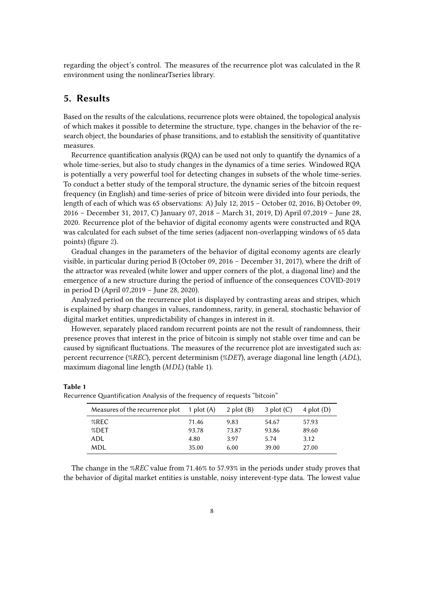regarding the object's control. The measures of the recurrence plot was calculated in the R environment using the nonlinearTseries library.

## **5. Results**

Based on the results of the calculations, recurrence plots were obtained, the topological analysis of which makes it possible to determine the structure, type, changes in the behavior of the research object, the boundaries of phase transitions, and to establish the sensitivity of quantitative measures.

Recurrence quantification analysis (RQA) can be used not only to quantify the dynamics of a whole time-series, but also to study changes in the dynamics of a time series. Windowed RQA is potentially a very powerful tool for detecting changes in subsets of the whole time-series. To conduct a better study of the temporal structure, the dynamic series of the bitcoin request frequency (in English) and time-series of price of bitcoin were divided into four periods, the length of each of which was 65 observations: A) July 12, 2015 – October 02, 2016, B) October 09, 2016 – December 31, 2017, C) January 07, 2018 – March 31, 2019, D) April 07,2019 – June 28, 2020. Recurrence plot of the behavior of digital economy agents were constructed and RQA was calculated for each subset of the time series (adjacent non-overlapping windows of 65 data points) (figure [2\)](#page-8-0).

Gradual changes in the parameters of the behavior of digital economy agents are clearly visible, in particular during period B (October 09, 2016 – December 31, 2017), where the drift of the attractor was revealed (white lower and upper corners of the plot, a diagonal line) and the emergence of a new structure during the period of influence of the consequences COVID-2019 in period D (April 07,2019 – June 28, 2020).

Analyzed period on the recurrence plot is displayed by contrasting areas and stripes, which is explained by sharp changes in values, randomness, rarity, in general, stochastic behavior of digital market entities, unpredictability of changes in interest in it.

However, separately placed random recurrent points are not the result of randomness, their presence proves that interest in the price of bitcoin is simply not stable over time and can be caused by significant fluctuations. The measures of the recurrence plot are investigated such as: percent recurrence (%REC), percent determinism (%DET), average diagonal line length (ADL), maximum diagonal line length  $(MDL)$  (table 1).

| Measures of the recurrence plot $1$ plot (A) |       | 2 plot $(B)$ | $3$ plot $(C)$ | 4 plot $(D)$ |
|----------------------------------------------|-------|--------------|----------------|--------------|
| %REC                                         | 71.46 | 9.83         | 54.67          | 57.93        |
| $%$ DET                                      | 93.78 | 73.87        | 93.86          | 89.60        |
| ADL                                          | 4.80  | 3.97         | 5.74           | 3.12         |
| MDL                                          | 35.00 | 6.00         | 39.00          | 27.00        |

**Table 1**

Recurrence Quantification Analysis of the frequency of requests "bitcoin"

The change in the %REC value from 71.46% to 57.93% in the periods under study proves that the behavior of digital market entities is unstable, noisy interevent-type data. The lowest value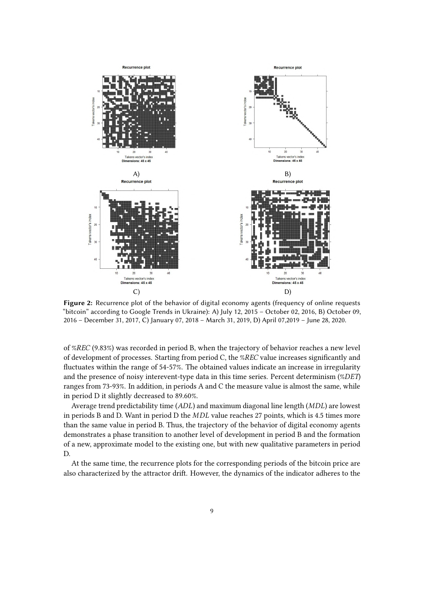

<span id="page-8-0"></span>**Figure 2:** Recurrence plot of the behavior of digital economy agents (frequency of online requests "bitcoin" according to Google Trends in Ukraine): A) July 12, 2015 – October 02, 2016, B) October 09, 2016 – December 31, 2017, C) January 07, 2018 – March 31, 2019, D) April 07,2019 – June 28, 2020.

of %REC (9.83%) was recorded in period B, when the trajectory of behavior reaches a new level of development of processes. Starting from period C, the %REC value increases significantly and fluctuates within the range of 54-57%. The obtained values indicate an increase in irregularity and the presence of noisy interevent-type data in this time series. Percent determinism  $(\%DET)$ ranges from 73-93%. In addition, in periods A and C the measure value is almost the same, while in period D it slightly decreased to 89.60%.

Average trend predictability time  $(ADL)$  and maximum diagonal line length  $(MDL)$  are lowest in periods B and D. Want in period D the  $MDL$  value reaches 27 points, which is 4.5 times more than the same value in period B. Thus, the trajectory of the behavior of digital economy agents demonstrates a phase transition to another level of development in period B and the formation of a new, approximate model to the existing one, but with new qualitative parameters in period D.

At the same time, the recurrence plots for the corresponding periods of the bitcoin price are also characterized by the attractor drift. However, the dynamics of the indicator adheres to the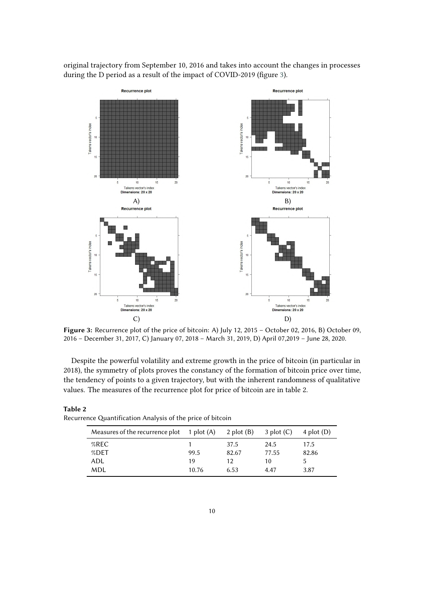original trajectory from September 10, 2016 and takes into account the changes in processes during the D period as a result of the impact of COVID-2019 (figure [3\)](#page-9-0).



<span id="page-9-0"></span>**Figure 3:** Recurrence plot of the price of bitcoin: A) July 12, 2015 – October 02, 2016, B) October 09, 2016 – December 31, 2017, C) January 07, 2018 – March 31, 2019, D) April 07,2019 – June 28, 2020.

Despite the powerful volatility and extreme growth in the price of bitcoin (in particular in 2018), the symmetry of plots proves the constancy of the formation of bitcoin price over time, the tendency of points to a given trajectory, but with the inherent randomness of qualitative values. The measures of the recurrence plot for price of bitcoin are in table 2.

| Measures of the recurrence plot $1$ plot (A) |       | 2 plot $(B)$ | $3$ plot $(C)$ | 4 plot $(D)$ |
|----------------------------------------------|-------|--------------|----------------|--------------|
| $%$ REC                                      |       | 37.5         | 24.5           | 17.5         |
| $%$ DET                                      | 99.5  | 82.67        | 77.55          | 82.86        |
| ADL                                          | 19    | 12           | 10             |              |
| MDL                                          | 10.76 | 6.53         | 4.47           | 3.87         |
|                                              |       |              |                |              |

| Table 2                                                    |  |
|------------------------------------------------------------|--|
| Recurrence Quantification Analysis of the price of bitcoin |  |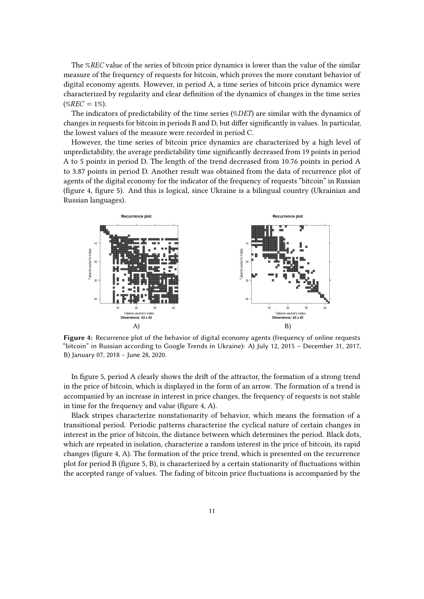The % $REC$  value of the series of bitcoin price dynamics is lower than the value of the similar measure of the frequency of requests for bitcoin, which proves the more constant behavior of digital economy agents. However, in period A, a time series of bitcoin price dynamics were characterized by regularity and clear definition of the dynamics of changes in the time series  $(\%REC = 1\%).$ 

The indicators of predictability of the time series  $(\%DET)$  are similar with the dynamics of changes in requests for bitcoin in periods B and D, but differ significantly in values. In particular, the lowest values of the measure were recorded in period C.

However, the time series of bitcoin price dynamics are characterized by a high level of unpredictability, the average predictability time significantly decreased from 19 points in period A to 5 points in period D. The length of the trend decreased from 10.76 points in period A to 3.87 points in period D. Another result was obtained from the data of recurrence plot of agents of the digital economy for the indicator of the frequency of requests "bitcoin" in Russian (figure 4, figure 5). And this is logical, since Ukraine is a bilingual country (Ukrainian and Russian languages).



**Figure 4:** Recurrence plot of the behavior of digital economy agents (frequency of online requests "bitcoin" in Russian according to Google Trends in Ukraine): A) July 12, 2015 – December 31, 2017, B) January 07, 2018 – June 28, 2020.

In figure 5, period A clearly shows the drift of the attractor, the formation of a strong trend in the price of bitcoin, which is displayed in the form of an arrow. The formation of a trend is accompanied by an increase in interest in price changes, the frequency of requests is not stable in time for the frequency and value (figure 4, A).

Black stripes characterize nonstationarity of behavior, which means the formation of a transitional period. Periodic patterns characterize the cyclical nature of certain changes in interest in the price of bitcoin, the distance between which determines the period. Black dots, which are repeated in isolation, characterize a random interest in the price of bitcoin, its rapid changes (figure 4, A). The formation of the price trend, which is presented on the recurrence plot for period B (figure 5, B), is characterized by a certain stationarity of fluctuations within the accepted range of values. The fading of bitcoin price fluctuations is accompanied by the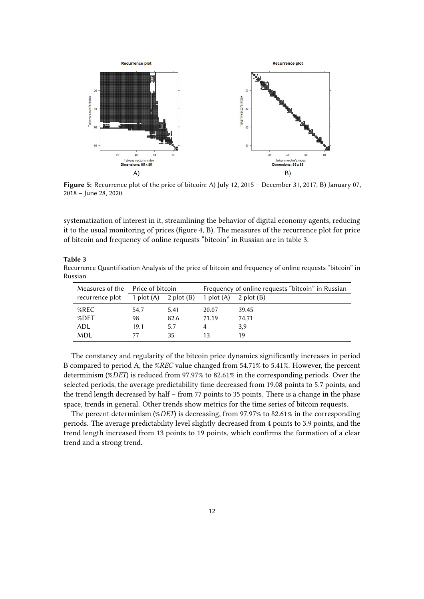

**Figure 5:** Recurrence plot of the price of bitcoin: A) July 12, 2015 – December 31, 2017, B) January 07, 2018 – June 28, 2020.

systematization of interest in it, streamlining the behavior of digital economy agents, reducing it to the usual monitoring of prices (figure 4, B). The measures of the recurrence plot for price of bitcoin and frequency of online requests "bitcoin" in Russian are in table 3.

#### **Table 3**

Recurrence Quantification Analysis of the price of bitcoin and frequency of online requests "bitcoin" in Russian

|                 | Measures of the Price of bitcoin |                           | Frequency of online requests "bitcoin" in Russian |              |  |
|-----------------|----------------------------------|---------------------------|---------------------------------------------------|--------------|--|
| recurrence plot |                                  | 1 plot $(A)$ 2 plot $(B)$ | 1 plot $(A)$                                      | 2 plot $(B)$ |  |
| $%$ REC         | 54.7                             | 5.41                      | 20.07                                             | 39.45        |  |
| %DET            | 98                               | 82.6                      | 71.19                                             | 74.71        |  |
| ADL             | 19.1                             | 5.7                       |                                                   | 3,9          |  |
| MDL             |                                  | 35                        |                                                   | 19           |  |

The constancy and regularity of the bitcoin price dynamics significantly increases in period B compared to period A, the %REC value changed from 54.71% to 5.41%. However, the percent determinism (%DET) is reduced from 97.97% to 82.61% in the corresponding periods. Over the selected periods, the average predictability time decreased from 19.08 points to 5.7 points, and the trend length decreased by half – from 77 points to 35 points. There is a change in the phase space, trends in general. Other trends show metrics for the time series of bitcoin requests.

The percent determinism (%DET) is decreasing, from 97.97% to 82.61% in the corresponding periods. The average predictability level slightly decreased from 4 points to 3.9 points, and the trend length increased from 13 points to 19 points, which confirms the formation of a clear trend and a strong trend.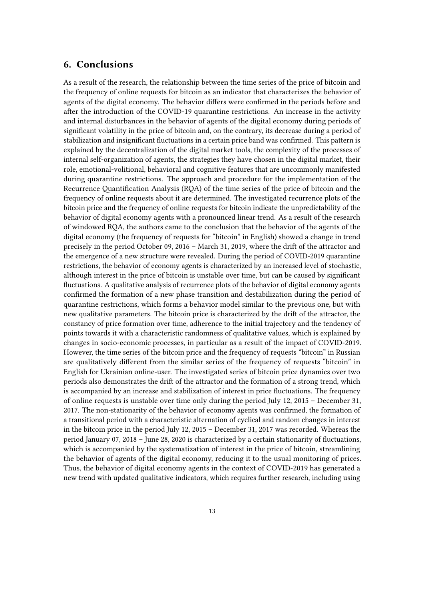#### **6. Conclusions**

As a result of the research, the relationship between the time series of the price of bitcoin and the frequency of online requests for bitcoin as an indicator that characterizes the behavior of agents of the digital economy. The behavior differs were confirmed in the periods before and after the introduction of the COVID-19 quarantine restrictions. An increase in the activity and internal disturbances in the behavior of agents of the digital economy during periods of significant volatility in the price of bitcoin and, on the contrary, its decrease during a period of stabilization and insignificant fluctuations in a certain price band was confirmed. This pattern is explained by the decentralization of the digital market tools, the complexity of the processes of internal self-organization of agents, the strategies they have chosen in the digital market, their role, emotional-volitional, behavioral and cognitive features that are uncommonly manifested during quarantine restrictions. The approach and procedure for the implementation of the Recurrence Quantification Analysis (RQA) of the time series of the price of bitcoin and the frequency of online requests about it are determined. The investigated recurrence plots of the bitcoin price and the frequency of online requests for bitcoin indicate the unpredictability of the behavior of digital economy agents with a pronounced linear trend. As a result of the research of windowed RQA, the authors came to the conclusion that the behavior of the agents of the digital economy (the frequency of requests for "bitcoin" in English) showed a change in trend precisely in the period October 09, 2016 – March 31, 2019, where the drift of the attractor and the emergence of a new structure were revealed. During the period of COVID-2019 quarantine restrictions, the behavior of economy agents is characterized by an increased level of stochastic, although interest in the price of bitcoin is unstable over time, but can be caused by significant fluctuations. A qualitative analysis of recurrence plots of the behavior of digital economy agents confirmed the formation of a new phase transition and destabilization during the period of quarantine restrictions, which forms a behavior model similar to the previous one, but with new qualitative parameters. The bitcoin price is characterized by the drift of the attractor, the constancy of price formation over time, adherence to the initial trajectory and the tendency of points towards it with a characteristic randomness of qualitative values, which is explained by changes in socio-economic processes, in particular as a result of the impact of COVID-2019. However, the time series of the bitcoin price and the frequency of requests "bitcoin" in Russian are qualitatively different from the similar series of the frequency of requests "bitcoin" in English for Ukrainian online-user. The investigated series of bitcoin price dynamics over two periods also demonstrates the drift of the attractor and the formation of a strong trend, which is accompanied by an increase and stabilization of interest in price fluctuations. The frequency of online requests is unstable over time only during the period July 12, 2015 – December 31, 2017. The non-stationarity of the behavior of economy agents was confirmed, the formation of a transitional period with a characteristic alternation of cyclical and random changes in interest in the bitcoin price in the period July 12, 2015 – December 31, 2017 was recorded. Whereas the period January 07, 2018 – June 28, 2020 is characterized by a certain stationarity of fluctuations, which is accompanied by the systematization of interest in the price of bitcoin, streamlining the behavior of agents of the digital economy, reducing it to the usual monitoring of prices. Thus, the behavior of digital economy agents in the context of COVID-2019 has generated a new trend with updated qualitative indicators, which requires further research, including using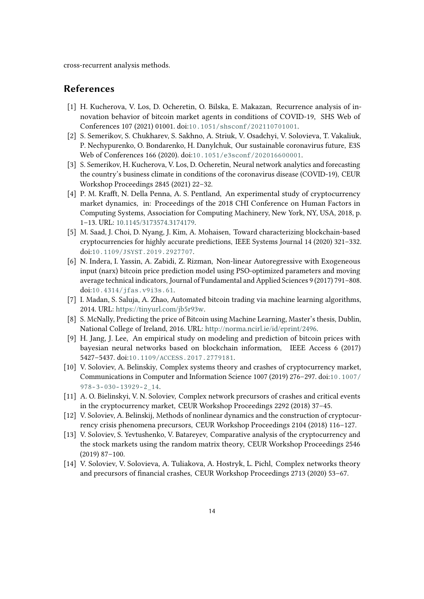cross-recurrent analysis methods.

### **References**

- <span id="page-13-0"></span>[1] H. Kucherova, V. Los, D. Ocheretin, O. Bilska, E. Makazan, Recurrence analysis of innovation behavior of bitcoin market agents in conditions of COVID-19, SHS Web of Conferences 107 (2021) 01001. doi:[10.1051/shsconf/202110701001](http://dx.doi.org/10.1051/shsconf/202110701001).
- <span id="page-13-1"></span>[2] S. Semerikov, S. Chukharev, S. Sakhno, A. Striuk, V. Osadchyi, V. Solovieva, T. Vakaliuk, P. Nechypurenko, O. Bondarenko, H. Danylchuk, Our sustainable coronavirus future, E3S Web of Conferences 166 (2020). doi:[10.1051/e3sconf/202016600001](http://dx.doi.org/10.1051/e3sconf/202016600001).
- <span id="page-13-2"></span>[3] S. Semerikov, H. Kucherova, V. Los, D. Ocheretin, Neural network analytics and forecasting the country's business climate in conditions of the coronavirus disease (COVID-19), CEUR Workshop Proceedings 2845 (2021) 22–32.
- <span id="page-13-3"></span>[4] P. M. Krafft, N. Della Penna, A. S. Pentland, An experimental study of cryptocurrency market dynamics, in: Proceedings of the 2018 CHI Conference on Human Factors in Computing Systems, Association for Computing Machinery, New York, NY, USA, 2018, p. 1–13. URL: [10.1145/3173574.3174179.](10.1145/3173574.3174179)
- <span id="page-13-4"></span>[5] M. Saad, J. Choi, D. Nyang, J. Kim, A. Mohaisen, Toward characterizing blockchain-based cryptocurrencies for highly accurate predictions, IEEE Systems Journal 14 (2020) 321–332. doi:[10.1109/JSYST.2019.2927707](http://dx.doi.org/10.1109/JSYST.2019.2927707).
- <span id="page-13-5"></span>[6] N. Indera, I. Yassin, A. Zabidi, Z. Rizman, Non-linear Autoregressive with Exogeneous input (narx) bitcoin price prediction model using PSO-optimized parameters and moving average technical indicators, Journal of Fundamental and Applied Sciences 9 (2017) 791–808. doi:[10.4314/jfas.v9i3s.61](http://dx.doi.org/10.4314/jfas.v9i3s.61).
- <span id="page-13-6"></span>[7] I. Madan, S. Saluja, A. Zhao, Automated bitcoin trading via machine learning algorithms, 2014. URL: [https://tinyurl.com/jb5r93w.](https://tinyurl.com/jb5r93w)
- <span id="page-13-7"></span>[8] S. McNally, Predicting the price of Bitcoin using Machine Learning, Master's thesis, Dublin, National College of Ireland, 2016. URL: [http://norma.ncirl.ie/id/eprint/2496.](http://norma.ncirl.ie/id/eprint/2496)
- <span id="page-13-8"></span>[9] H. Jang, J. Lee, An empirical study on modeling and prediction of bitcoin prices with bayesian neural networks based on blockchain information, IEEE Access 6 (2017) 5427–5437. doi:[10.1109/ACCESS.2017.2779181](http://dx.doi.org/10.1109/ACCESS.2017.2779181).
- <span id="page-13-9"></span>[10] V. Soloviev, A. Belinskiy, Complex systems theory and crashes of cryptocurrency market, Communications in Computer and Information Science 1007 (2019) 276–297. doi:[10.1007/](http://dx.doi.org/10.1007/978-3-030-13929-2_14)  $978 - 3 - 030 - 13929 - 2$  14.
- <span id="page-13-10"></span>[11] A. O. Bielinskyi, V. N. Soloviev, Complex network precursors of crashes and critical events in the cryptocurrency market, CEUR Workshop Proceedings 2292 (2018) 37–45.
- <span id="page-13-11"></span>[12] V. Soloviev, A. Belinskij, Methods of nonlinear dynamics and the construction of cryptocurrency crisis phenomena precursors, CEUR Workshop Proceedings 2104 (2018) 116–127.
- <span id="page-13-12"></span>[13] V. Soloviev, S. Yevtushenko, V. Batareyev, Comparative analysis of the cryptocurrency and the stock markets using the random matrix theory, CEUR Workshop Proceedings 2546 (2019) 87–100.
- <span id="page-13-13"></span>[14] V. Soloviev, V. Solovieva, A. Tuliakova, A. Hostryk, L. Pichl, Complex networks theory and precursors of financial crashes, CEUR Workshop Proceedings 2713 (2020) 53–67.